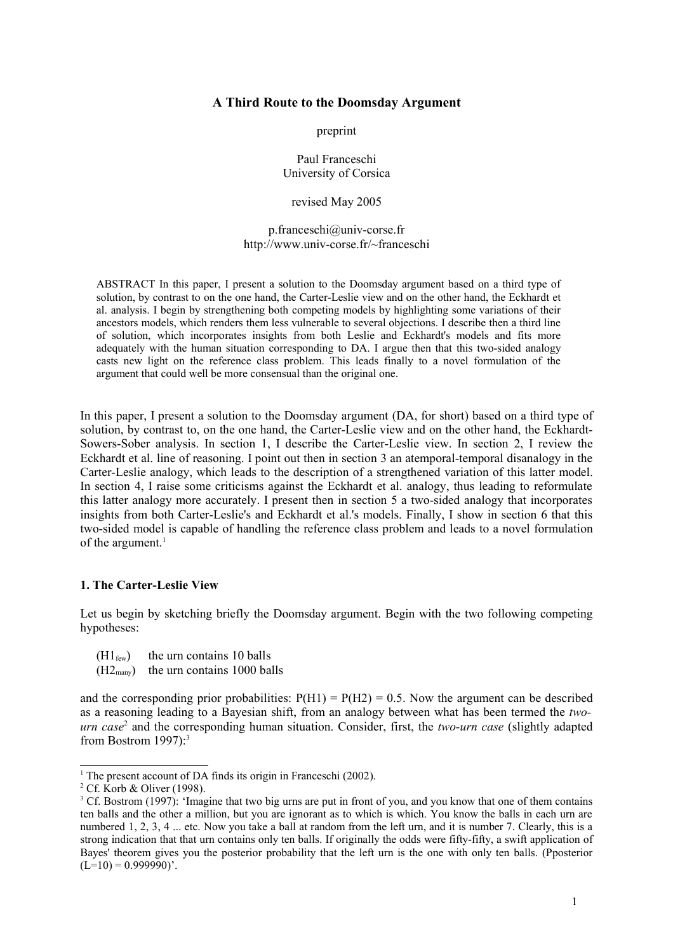## **A Third Route to the Doomsday Argument**

preprint

Paul Franceschi University of Corsica

revised May 2005

p.franceschi@univ-corse.fr http://www.univ-corse.fr/~franceschi

ABSTRACT In this paper, I present a solution to the Doomsday argument based on a third type of solution, by contrast to on the one hand, the Carter-Leslie view and on the other hand, the Eckhardt et al. analysis. I begin by strengthening both competing models by highlighting some variations of their ancestors models, which renders them less vulnerable to several objections. I describe then a third line of solution, which incorporates insights from both Leslie and Eckhardt's models and fits more adequately with the human situation corresponding to DA. I argue then that this two-sided analogy casts new light on the reference class problem. This leads finally to a novel formulation of the argument that could well be more consensual than the original one.

In this paper, I present a solution to the Doomsday argument (DA, for short) based on a third type of solution, by contrast to, on the one hand, the Carter-Leslie view and on the other hand, the Eckhardt-Sowers-Sober analysis. In section 1, I describe the Carter-Leslie view. In section 2, I review the Eckhardt et al. line of reasoning. I point out then in section 3 an atemporal-temporal disanalogy in the Carter-Leslie analogy, which leads to the description of a strengthened variation of this latter model. In section 4, I raise some criticisms against the Eckhardt et al. analogy, thus leading to reformulate this latter analogy more accurately. I present then in section 5 a two-sided analogy that incorporates insights from both Carter-Leslie's and Eckhardt et al.'s models. Finally, I show in section 6 that this two-sided model is capable of handling the reference class problem and leads to a novel formulation of the argument. 1

### **1. The Carter-Leslie View**

Let us begin by sketching briefly the Doomsday argument. Begin with the two following competing hypotheses:

- $(H1_{few})$  the urn contains 10 balls
- $(H2<sub>many</sub>)$  the urn contains 1000 balls

and the corresponding prior probabilities:  $P(H1) = P(H2) = 0.5$ . Now the argument can be described as a reasoning leading to a Bayesian shift, from an analogy between what has been termed the *twourn case*<sup>2</sup> and the corresponding human situation. Consider, first, the *two-urn case* (slightly adapted from Bostrom 1997):<sup>3</sup>

<sup>&</sup>lt;sup>1</sup> The present account of DA finds its origin in Franceschi (2002).

<sup>2</sup> Cf. Korb & Oliver (1998).

<sup>&</sup>lt;sup>3</sup> Cf. Bostrom (1997): 'Imagine that two big urns are put in front of you, and you know that one of them contains ten balls and the other a million, but you are ignorant as to which is which. You know the balls in each urn are numbered 1, 2, 3, 4 ... etc. Now you take a ball at random from the left urn, and it is number 7. Clearly, this is a strong indication that that urn contains only ten balls. If originally the odds were fifty-fifty, a swift application of Bayes' theorem gives you the posterior probability that the left urn is the one with only ten balls. (Pposterior  $(L=10) = 0.999990$ .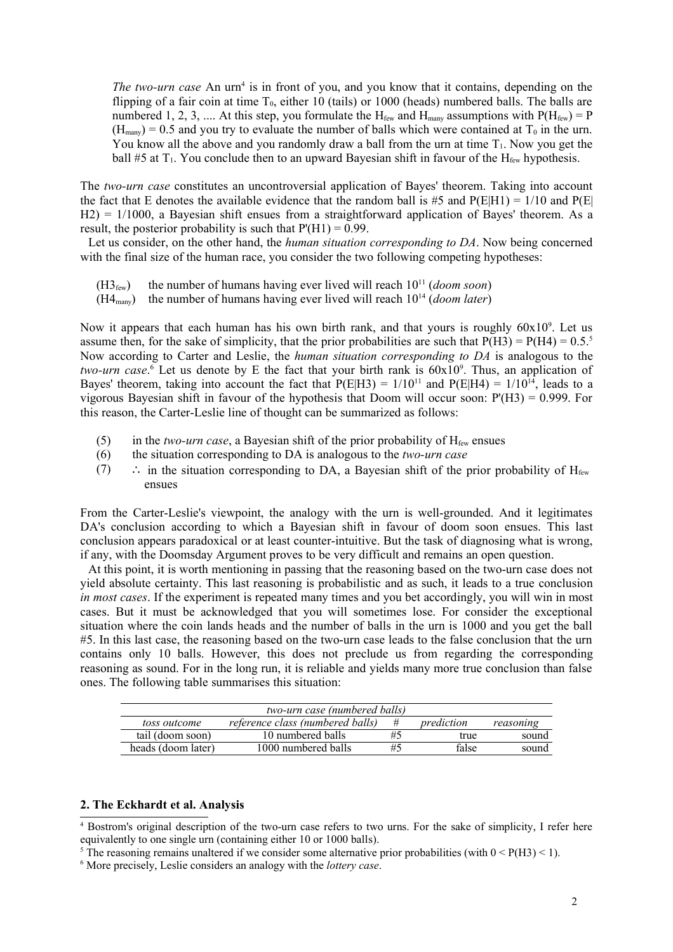*The two-urn case* An urn<sup>4</sup> is in front of you, and you know that it contains, depending on the flipping of a fair coin at time  $T_0$ , either 10 (tails) or 1000 (heads) numbered balls. The balls are numbered 1, 2, 3, .... At this step, you formulate the  $H_{few}$  and  $H_{many}$  assumptions with  $P(H_{few}) = P$  $(H_{\text{many}}) = 0.5$  and you try to evaluate the number of balls which were contained at T<sub>0</sub> in the urn. You know all the above and you randomly draw a ball from the urn at time  $T_1$ . Now you get the ball #5 at  $T_1$ . You conclude then to an upward Bayesian shift in favour of the  $H_{f_{rw}}$  hypothesis.

The *two-urn case* constitutes an uncontroversial application of Bayes' theorem. Taking into account the fact that E denotes the available evidence that the random ball is #5 and  $P(E|H1) = 1/10$  and  $P(E|$ H2) = 1/1000, a Bayesian shift ensues from a straightforward application of Bayes' theorem. As a result, the posterior probability is such that  $P'(H1) = 0.99$ .

Let us consider, on the other hand, the *human situation corresponding to DA*. Now being concerned with the final size of the human race, you consider the two following competing hypotheses:

 $(H3<sub>few</sub>)$  the number of humans having ever lived will reach  $10<sup>11</sup>$  (*doom soon*)

 $(H4<sub>many</sub>)$  the number of humans having ever lived will reach  $10<sup>14</sup>$  (*doom later*)

Now it appears that each human has his own birth rank, and that yours is roughly 60x10<sup>9</sup>. Let us assume then, for the sake of simplicity, that the prior probabilities are such that  $P(H3) = P(H4) = 0.5$ .<sup>5</sup> Now according to Carter and Leslie, the *human situation corresponding to DA* is analogous to the *two-urn case*.<sup>6</sup> Let us denote by E the fact that your birth rank is 60x10<sup>9</sup>. Thus, an application of Bayes' theorem, taking into account the fact that  $P(E|H3) = 1/10^{11}$  and  $P(E|H4) = 1/10^{14}$ , leads to a vigorous Bayesian shift in favour of the hypothesis that Doom will occur soon:  $P(H3) = 0.999$ . For this reason, the Carter-Leslie line of thought can be summarized as follows:

- (5) in the *two-urn case*, a Bayesian shift of the prior probability of  $H_{few}$  ensues
- (6) the situation corresponding to DA is analogous to the *two-urn case*
- (7) : in the situation corresponding to DA, a Bayesian shift of the prior probability of  $H_{f_{\text{f}}_{\text{env}}}$ ensues

From the Carter-Leslie's viewpoint, the analogy with the urn is well-grounded. And it legitimates DA's conclusion according to which a Bayesian shift in favour of doom soon ensues. This last conclusion appears paradoxical or at least counter-intuitive. But the task of diagnosing what is wrong, if any, with the Doomsday Argument proves to be very difficult and remains an open question.

At this point, it is worth mentioning in passing that the reasoning based on the two-urn case does not yield absolute certainty. This last reasoning is probabilistic and as such, it leads to a true conclusion *in most cases*. If the experiment is repeated many times and you bet accordingly, you will win in most cases. But it must be acknowledged that you will sometimes lose. For consider the exceptional situation where the coin lands heads and the number of balls in the urn is 1000 and you get the ball #5. In this last case, the reasoning based on the two-urn case leads to the false conclusion that the urn contains only 10 balls. However, this does not preclude us from regarding the corresponding reasoning as sound. For in the long run, it is reliable and yields many more true conclusion than false ones. The following table summarises this situation:

| two-urn case (numbered balls) |                                  |    |            |           |  |  |  |  |
|-------------------------------|----------------------------------|----|------------|-----------|--|--|--|--|
| toss outcome                  | reference class (numbered balls) |    | prediction | reasoning |  |  |  |  |
| tail (doom soon)              | 10 numbered balls                | #5 | true       | sound     |  |  |  |  |
| heads (doom later)            | 1000 numbered balls              | #5 | false      | sound     |  |  |  |  |

# **2. The Eckhardt et al. Analysis**

<sup>4</sup> Bostrom's original description of the two-urn case refers to two urns. For the sake of simplicity, I refer here equivalently to one single urn (containing either 10 or 1000 balls).

<sup>&</sup>lt;sup>5</sup> The reasoning remains unaltered if we consider some alternative prior probabilities (with  $0 < P(H3) < 1$ ).

<sup>6</sup> More precisely, Leslie considers an analogy with the *lottery case*.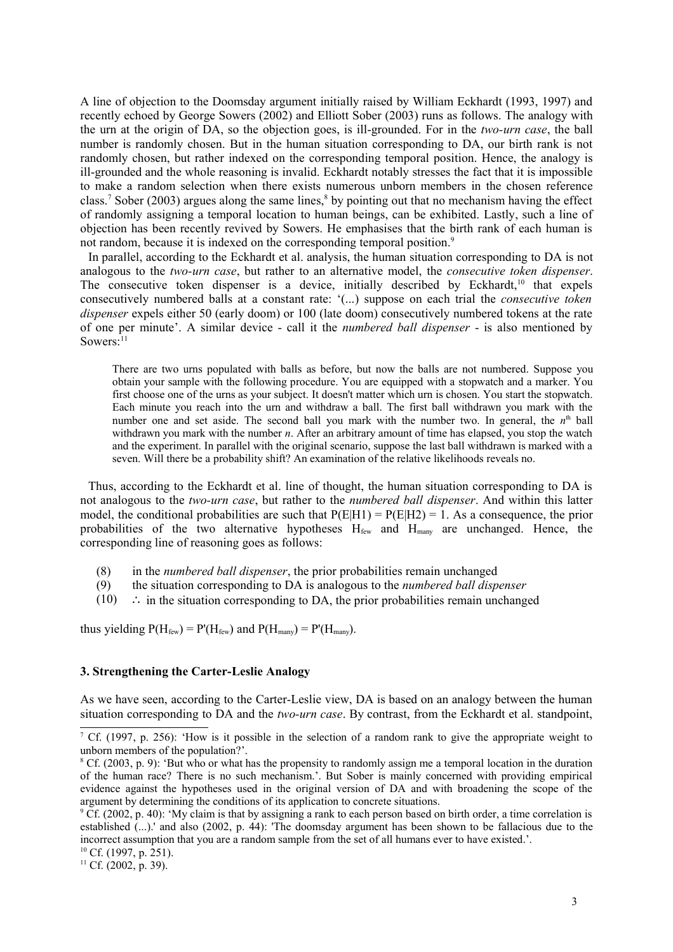A line of objection to the Doomsday argument initially raised by William Eckhardt (1993, 1997) and recently echoed by George Sowers (2002) and Elliott Sober (2003) runs as follows. The analogy with the urn at the origin of DA, so the objection goes, is ill-grounded. For in the *two-urn case*, the ball number is randomly chosen. But in the human situation corresponding to DA, our birth rank is not randomly chosen, but rather indexed on the corresponding temporal position. Hence, the analogy is ill-grounded and the whole reasoning is invalid. Eckhardt notably stresses the fact that it is impossible to make a random selection when there exists numerous unborn members in the chosen reference class.<sup>7</sup> Sober (2003) argues along the same lines,<sup>8</sup> by pointing out that no mechanism having the effect of randomly assigning a temporal location to human beings, can be exhibited. Lastly, such a line of objection has been recently revived by Sowers. He emphasises that the birth rank of each human is not random, because it is indexed on the corresponding temporal position.<sup>9</sup>

In parallel, according to the Eckhardt et al. analysis, the human situation corresponding to DA is not analogous to the *two-urn case*, but rather to an alternative model, the *consecutive token dispenser*. The consecutive token dispenser is a device, initially described by Eckhardt,<sup>10</sup> that expels consecutively numbered balls at a constant rate: '(...) suppose on each trial the *consecutive token dispenser* expels either 50 (early doom) or 100 (late doom) consecutively numbered tokens at the rate of one per minute'. A similar device - call it the *numbered ball dispenser* - is also mentioned by Sowers:<sup>11</sup>

There are two urns populated with balls as before, but now the balls are not numbered. Suppose you obtain your sample with the following procedure. You are equipped with a stopwatch and a marker. You first choose one of the urns as your subject. It doesn't matter which urn is chosen. You start the stopwatch. Each minute you reach into the urn and withdraw a ball. The first ball withdrawn you mark with the number one and set aside. The second ball you mark with the number two. In general, the  $n<sup>th</sup>$  ball withdrawn you mark with the number *n*. After an arbitrary amount of time has elapsed, you stop the watch and the experiment. In parallel with the original scenario, suppose the last ball withdrawn is marked with a seven. Will there be a probability shift? An examination of the relative likelihoods reveals no.

Thus, according to the Eckhardt et al. line of thought, the human situation corresponding to DA is not analogous to the *two-urn case*, but rather to the *numbered ball dispenser*. And within this latter model, the conditional probabilities are such that  $P(E|H1) = P(E|H2) = 1$ . As a consequence, the prior probabilities of the two alternative hypotheses  $H_{few}$  and  $H_{maw}$  are unchanged. Hence, the corresponding line of reasoning goes as follows:

- (8) in the *numbered ball dispenser*, the prior probabilities remain unchanged
- (9) the situation corresponding to DA is analogous to the *numbered ball dispenser*
- $(10)$  ∴ in the situation corresponding to DA, the prior probabilities remain unchanged

thus yielding  $P(H_{\text{few}}) = P'(H_{\text{few}})$  and  $P(H_{\text{many}}) = P'(H_{\text{many}})$ .

### **3. Strengthening the Carter-Leslie Analogy**

As we have seen, according to the Carter-Leslie view, DA is based on an analogy between the human situation corresponding to DA and the *two-urn case*. By contrast, from the Eckhardt et al. standpoint,

<sup>7</sup> Cf. (1997, p. 256): 'How is it possible in the selection of a random rank to give the appropriate weight to unborn members of the population?'.

<sup>8</sup> Cf. (2003, p. 9): 'But who or what has the propensity to randomly assign me a temporal location in the duration of the human race? There is no such mechanism.'. But Sober is mainly concerned with providing empirical evidence against the hypotheses used in the original version of DA and with broadening the scope of the argument by determining the conditions of its application to concrete situations.

<sup>&</sup>lt;sup>9</sup> Cf. (2002, p. 40): 'My claim is that by assigning a rank to each person based on birth order, a time correlation is established (...).' and also (2002, p. 44): 'The doomsday argument has been shown to be fallacious due to the incorrect assumption that you are a random sample from the set of all humans ever to have existed.'.

 $10$  Cf. (1997, p. 251).

<sup>&</sup>lt;sup>11</sup> Cf. (2002, p. 39).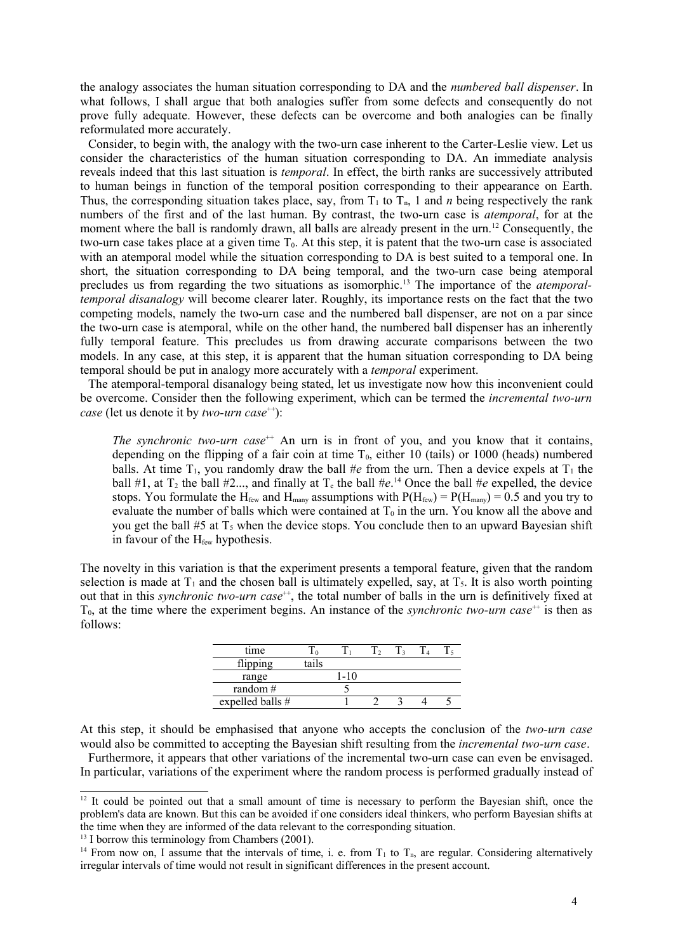the analogy associates the human situation corresponding to DA and the *numbered ball dispenser*. In what follows, I shall argue that both analogies suffer from some defects and consequently do not prove fully adequate. However, these defects can be overcome and both analogies can be finally reformulated more accurately.

Consider, to begin with, the analogy with the two-urn case inherent to the Carter-Leslie view. Let us consider the characteristics of the human situation corresponding to DA. An immediate analysis reveals indeed that this last situation is *temporal*. In effect, the birth ranks are successively attributed to human beings in function of the temporal position corresponding to their appearance on Earth. Thus, the corresponding situation takes place, say, from  $T_1$  to  $T_n$ , 1 and *n* being respectively the rank numbers of the first and of the last human. By contrast, the two-urn case is *atemporal*, for at the moment where the ball is randomly drawn, all balls are already present in the urn.<sup>12</sup> Consequently, the two-urn case takes place at a given time  $T_0$ . At this step, it is patent that the two-urn case is associated with an atemporal model while the situation corresponding to DA is best suited to a temporal one. In short, the situation corresponding to DA being temporal, and the two-urn case being atemporal precludes us from regarding the two situations as isomorphic. <sup>13</sup> The importance of the *atemporaltemporal disanalogy* will become clearer later. Roughly, its importance rests on the fact that the two competing models, namely the two-urn case and the numbered ball dispenser, are not on a par since the two-urn case is atemporal, while on the other hand, the numbered ball dispenser has an inherently fully temporal feature. This precludes us from drawing accurate comparisons between the two models. In any case, at this step, it is apparent that the human situation corresponding to DA being temporal should be put in analogy more accurately with a *temporal* experiment.

The atemporal-temporal disanalogy being stated, let us investigate now how this inconvenient could be overcome. Consider then the following experiment, which can be termed the *incremental two-urn case* (let us denote it by *two-urn case*<sup>++</sup>):

*The synchronic two-urn case*<sup> $+$ </sup> An urn is in front of you, and you know that it contains, depending on the flipping of a fair coin at time  $T_0$ , either 10 (tails) or 1000 (heads) numbered balls. At time  $T_1$ , you randomly draw the ball #*e* from the urn. Then a device expels at  $T_1$  the ball #1, at  $T_2$  the ball #2..., and finally at  $T_e$  the ball #*e*.<sup>14</sup> Once the ball #*e* expelled, the device stops. You formulate the H<sub>few</sub> and H<sub>many</sub> assumptions with  $P(H_{\text{few}}) = P(H_{\text{many}}) = 0.5$  and you try to evaluate the number of balls which were contained at  $T_0$  in the urn. You know all the above and you get the ball  $#5$  at  $T<sub>5</sub>$  when the device stops. You conclude then to an upward Bayesian shift in favour of the H<sub>few</sub> hypothesis.

The novelty in this variation is that the experiment presents a temporal feature, given that the random selection is made at  $T_1$  and the chosen ball is ultimately expelled, say, at  $T_5$ . It is also worth pointing out that in this *synchronic* two-urn case<sup>++</sup>, the total number of balls in the urn is definitively fixed at  $T<sub>0</sub>$ , at the time where the experiment begins. An instance of the *synchronic two-urn case*<sup> $++$ </sup> is then as follows:

| time             |       |       | $\gamma$ | $\mathbf{a}$ |  |
|------------------|-------|-------|----------|--------------|--|
| flipping         | tails |       |          |              |  |
| range            |       | $-10$ |          |              |  |
| random $#$       |       |       |          |              |  |
| expelled balls # |       |       |          |              |  |

At this step, it should be emphasised that anyone who accepts the conclusion of the *two-urn case* would also be committed to accepting the Bayesian shift resulting from the *incremental two-urn case*.

Furthermore, it appears that other variations of the incremental two-urn case can even be envisaged. In particular, variations of the experiment where the random process is performed gradually instead of

<sup>&</sup>lt;sup>12</sup> It could be pointed out that a small amount of time is necessary to perform the Bayesian shift, once the problem's data are known. But this can be avoided if one considers ideal thinkers, who perform Bayesian shifts at the time when they are informed of the data relevant to the corresponding situation.

<sup>&</sup>lt;sup>13</sup> I borrow this terminology from Chambers (2001).

<sup>&</sup>lt;sup>14</sup> From now on, I assume that the intervals of time, i. e. from  $T_1$  to  $T_n$ , are regular. Considering alternatively irregular intervals of time would not result in significant differences in the present account.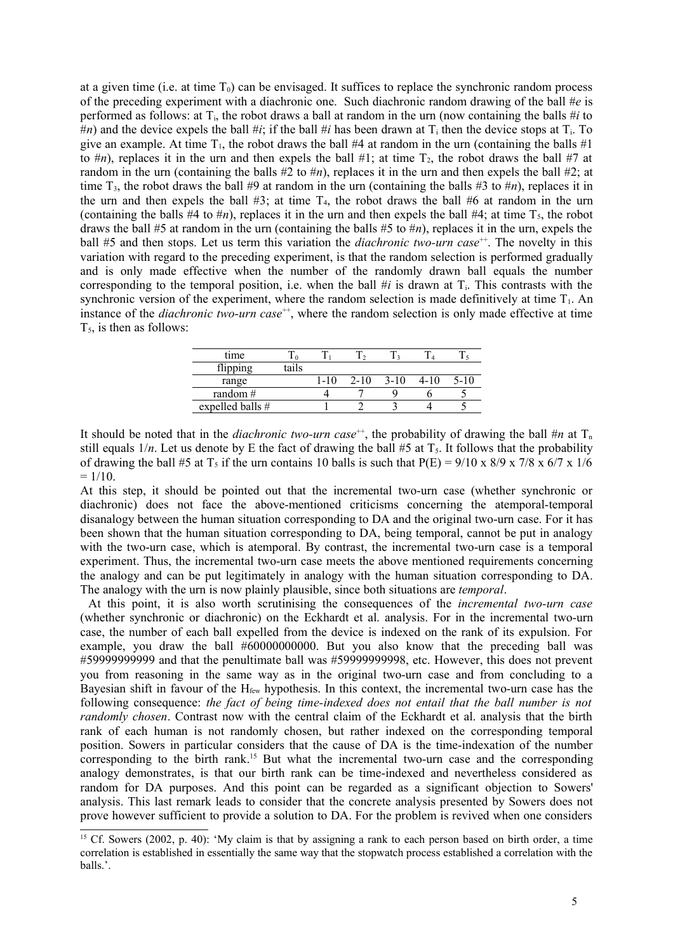at a given time (i.e. at time  $T_0$ ) can be envisaged. It suffices to replace the synchronic random process of the preceding experiment with a diachronic one. Such diachronic random drawing of the ball #*e* is performed as follows: at  $T_i$ , the robot draws a ball at random in the urn (now containing the balls  $\#i$  to  $\ddot{\theta}$  and the device expels the ball  $\ddot{\theta}$ *i*; if the ball  $\ddot{\theta}$ *i* has been drawn at T<sub>i</sub> then the device stops at T<sub>i</sub>. To give an example. At time  $T_1$ , the robot draws the ball #4 at random in the urn (containing the balls #1) to  $\#n$ ), replaces it in the urn and then expels the ball  $\#1$ ; at time  $T_2$ , the robot draws the ball  $\#7$  at random in the urn (containing the balls  $#2$  to  $#n$ ), replaces it in the urn and then expels the ball  $#2$ ; at time  $T_3$ , the robot draws the ball #9 at random in the urn (containing the balls #3 to #*n*), replaces it in the urn and then expels the ball  $#3$ ; at time  $T_4$ , the robot draws the ball  $#6$  at random in the urn (containing the balls  $#4$  to  $#n$ ), replaces it in the urn and then expels the ball  $#4$ ; at time  $T_5$ , the robot draws the ball #5 at random in the urn (containing the balls #5 to #*n*), replaces it in the urn, expels the ball #5 and then stops. Let us term this variation the *diachronic two-urn case*<sup>++</sup>. The novelty in this variation with regard to the preceding experiment, is that the random selection is performed gradually and is only made effective when the number of the randomly drawn ball equals the number corresponding to the temporal position, i.e. when the ball  $\#i$  is drawn at  $T_i$ . This contrasts with the synchronic version of the experiment, where the random selection is made definitively at time  $T_1$ . An instance of the *diachronic two-urn case*<sup>++</sup>, where the random selection is only made effective at time  $T<sub>5</sub>$ , is then as follows:

| tails |      |          |          |  |
|-------|------|----------|----------|--|
|       | 1-10 | $2 - 10$ | $3 - 10$ |  |
|       |      |          |          |  |
|       |      |          |          |  |
|       |      |          |          |  |

It should be noted that in the *diachronic two-urn case*<sup>++</sup>, the probability of drawing the ball  $\#n$  at  $T_n$ still equals  $1/n$ . Let us denote by E the fact of drawing the ball #5 at  $T_5$ . It follows that the probability of drawing the ball #5 at T<sub>5</sub> if the urn contains 10 balls is such that  $P(E) = 9/10 \times 8/9 \times 7/8 \times 6/7 \times 1/6$  $= 1/10$ .

At this step, it should be pointed out that the incremental two-urn case (whether synchronic or diachronic) does not face the above-mentioned criticisms concerning the atemporal-temporal disanalogy between the human situation corresponding to DA and the original two-urn case. For it has been shown that the human situation corresponding to DA, being temporal, cannot be put in analogy with the two-urn case, which is atemporal. By contrast, the incremental two-urn case is a temporal experiment. Thus, the incremental two-urn case meets the above mentioned requirements concerning the analogy and can be put legitimately in analogy with the human situation corresponding to DA. The analogy with the urn is now plainly plausible, since both situations are *temporal*.

At this point, it is also worth scrutinising the consequences of the *incremental two-urn case* (whether synchronic or diachronic) on the Eckhardt et al. analysis. For in the incremental two-urn case, the number of each ball expelled from the device is indexed on the rank of its expulsion. For example, you draw the ball  $#60000000000$ . But you also know that the preceding ball was #59999999999 and that the penultimate ball was #59999999998, etc. However, this does not prevent you from reasoning in the same way as in the original two-urn case and from concluding to a Bayesian shift in favour of the  $H_{few}$  hypothesis. In this context, the incremental two-urn case has the following consequence: *the fact of being time-indexed does not entail that the ball number is not randomly chosen*. Contrast now with the central claim of the Eckhardt et al. analysis that the birth rank of each human is not randomly chosen, but rather indexed on the corresponding temporal position. Sowers in particular considers that the cause of DA is the time-indexation of the number corresponding to the birth rank. <sup>15</sup> But what the incremental two-urn case and the corresponding analogy demonstrates, is that our birth rank can be time-indexed and nevertheless considered as random for DA purposes. And this point can be regarded as a significant objection to Sowers' analysis. This last remark leads to consider that the concrete analysis presented by Sowers does not prove however sufficient to provide a solution to DA. For the problem is revived when one considers

<sup>&</sup>lt;sup>15</sup> Cf. Sowers (2002, p. 40): 'My claim is that by assigning a rank to each person based on birth order, a time correlation is established in essentially the same way that the stopwatch process established a correlation with the balls.'.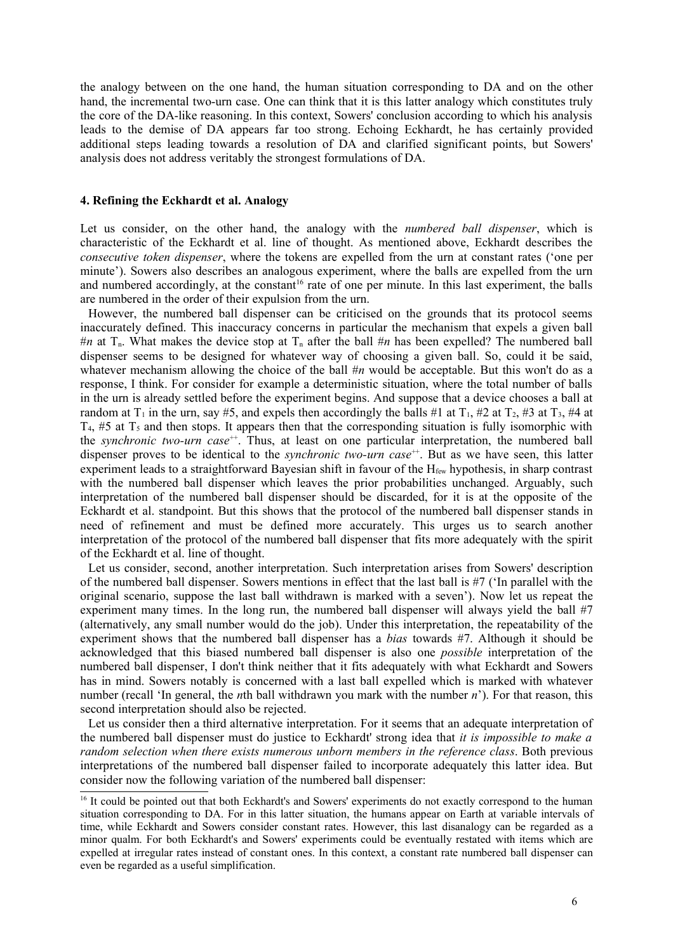the analogy between on the one hand, the human situation corresponding to DA and on the other hand, the incremental two-urn case. One can think that it is this latter analogy which constitutes truly the core of the DA-like reasoning. In this context, Sowers' conclusion according to which his analysis leads to the demise of DA appears far too strong. Echoing Eckhardt, he has certainly provided additional steps leading towards a resolution of DA and clarified significant points, but Sowers' analysis does not address veritably the strongest formulations of DA.

#### **4. Refining the Eckhardt et al. Analogy**

Let us consider, on the other hand, the analogy with the *numbered ball dispenser*, which is characteristic of the Eckhardt et al. line of thought. As mentioned above, Eckhardt describes the *consecutive token dispenser*, where the tokens are expelled from the urn at constant rates ('one per minute'). Sowers also describes an analogous experiment, where the balls are expelled from the urn and numbered accordingly, at the constant<sup>16</sup> rate of one per minute. In this last experiment, the balls are numbered in the order of their expulsion from the urn.

However, the numbered ball dispenser can be criticised on the grounds that its protocol seems inaccurately defined. This inaccuracy concerns in particular the mechanism that expels a given ball  $\#n$  at T<sub>n</sub>. What makes the device stop at T<sub>n</sub> after the ball  $\#n$  has been expelled? The numbered ball dispenser seems to be designed for whatever way of choosing a given ball. So, could it be said, whatever mechanism allowing the choice of the ball #*n* would be acceptable. But this won't do as a response, I think. For consider for example a deterministic situation, where the total number of balls in the urn is already settled before the experiment begins. And suppose that a device chooses a ball at random at  $T_1$  in the urn, say #5, and expels then accordingly the balls #1 at  $T_1$ , #2 at  $T_2$ , #3 at  $T_3$ , #4 at  $T_4$ , #5 at  $T_5$  and then stops. It appears then that the corresponding situation is fully isomorphic with the *synchronic two-urn case*<sup>++</sup>. Thus, at least on one particular interpretation, the numbered ball dispenser proves to be identical to the *synchronic two-urn case*<sup>++</sup>. But as we have seen, this latter experiment leads to a straightforward Bayesian shift in favour of the H<sub>few</sub> hypothesis, in sharp contrast with the numbered ball dispenser which leaves the prior probabilities unchanged. Arguably, such interpretation of the numbered ball dispenser should be discarded, for it is at the opposite of the Eckhardt et al. standpoint. But this shows that the protocol of the numbered ball dispenser stands in need of refinement and must be defined more accurately. This urges us to search another interpretation of the protocol of the numbered ball dispenser that fits more adequately with the spirit of the Eckhardt et al. line of thought.

Let us consider, second, another interpretation. Such interpretation arises from Sowers' description of the numbered ball dispenser. Sowers mentions in effect that the last ball is #7 ('In parallel with the original scenario, suppose the last ball withdrawn is marked with a seven'). Now let us repeat the experiment many times. In the long run, the numbered ball dispenser will always yield the ball #7 (alternatively, any small number would do the job). Under this interpretation, the repeatability of the experiment shows that the numbered ball dispenser has a *bias* towards #7. Although it should be acknowledged that this biased numbered ball dispenser is also one *possible* interpretation of the numbered ball dispenser, I don't think neither that it fits adequately with what Eckhardt and Sowers has in mind. Sowers notably is concerned with a last ball expelled which is marked with whatever number (recall 'In general, the *n*th ball withdrawn you mark with the number *n*'). For that reason, this second interpretation should also be rejected.

Let us consider then a third alternative interpretation. For it seems that an adequate interpretation of the numbered ball dispenser must do justice to Eckhardt' strong idea that *it is impossible to make a random selection when there exists numerous unborn members in the reference class*. Both previous interpretations of the numbered ball dispenser failed to incorporate adequately this latter idea. But consider now the following variation of the numbered ball dispenser:

<sup>&</sup>lt;sup>16</sup> It could be pointed out that both Eckhardt's and Sowers' experiments do not exactly correspond to the human situation corresponding to DA. For in this latter situation, the humans appear on Earth at variable intervals of time, while Eckhardt and Sowers consider constant rates. However, this last disanalogy can be regarded as a minor qualm. For both Eckhardt's and Sowers' experiments could be eventually restated with items which are expelled at irregular rates instead of constant ones. In this context, a constant rate numbered ball dispenser can even be regarded as a useful simplification.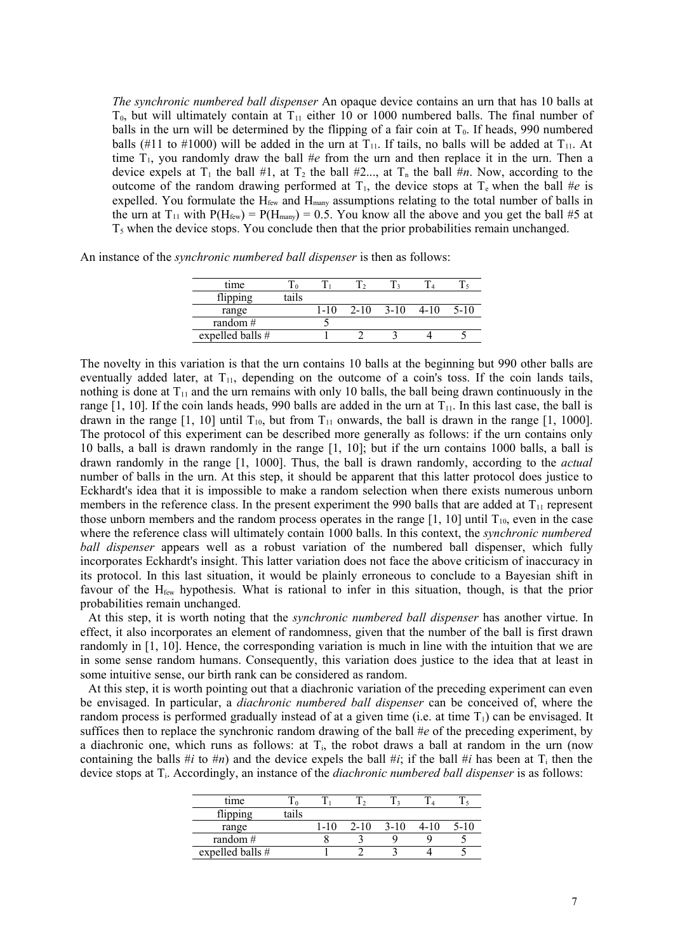*The synchronic numbered ball dispenser* An opaque device contains an urn that has 10 balls at  $T_0$ , but will ultimately contain at  $T_{11}$  either 10 or 1000 numbered balls. The final number of balls in the urn will be determined by the flipping of a fair coin at  $T_0$ . If heads, 990 numbered balls (#11 to #1000) will be added in the urn at  $T_{11}$ . If tails, no balls will be added at  $T_{11}$ . At time  $T_1$ , you randomly draw the ball  $\#e$  from the urn and then replace it in the urn. Then a device expels at  $T_1$  the ball #1, at  $T_2$  the ball #2..., at  $T_n$  the ball #*n*. Now, according to the outcome of the random drawing performed at  $T_1$ , the device stops at  $T_e$  when the ball #*e* is expelled. You formulate the  $H_{few}$  and  $H_{many}$  assumptions relating to the total number of balls in the urn at  $T_{11}$  with  $P(H_{few}) = P(H_{many}) = 0.5$ . You know all the above and you get the ball #5 at  $T<sub>5</sub>$  when the device stops. You conclude then that the prior probabilities remain unchanged.

An instance of the *synchronic numbered ball dispenser* is then as follows:

| time             |       |      |          |        |  |
|------------------|-------|------|----------|--------|--|
| flipping         | tails |      |          |        |  |
| range            |       | 1-10 | $2 - 10$ | $3-10$ |  |
| random $#$       |       |      |          |        |  |
| expelled balls # |       |      |          |        |  |

The novelty in this variation is that the urn contains 10 balls at the beginning but 990 other balls are eventually added later, at  $T_{11}$ , depending on the outcome of a coin's toss. If the coin lands tails, nothing is done at  $T_{11}$  and the urn remains with only 10 balls, the ball being drawn continuously in the range  $[1, 10]$ . If the coin lands heads, 990 balls are added in the urn at  $T_{11}$ . In this last case, the ball is drawn in the range  $[1, 10]$  until  $T_{10}$ , but from  $T_{11}$  onwards, the ball is drawn in the range  $[1, 1000]$ . The protocol of this experiment can be described more generally as follows: if the urn contains only 10 balls, a ball is drawn randomly in the range [1, 10]; but if the urn contains 1000 balls, a ball is drawn randomly in the range [1, 1000]. Thus, the ball is drawn randomly, according to the *actual* number of balls in the urn. At this step, it should be apparent that this latter protocol does justice to Eckhardt's idea that it is impossible to make a random selection when there exists numerous unborn members in the reference class. In the present experiment the 990 balls that are added at  $T_{11}$  represent those unborn members and the random process operates in the range  $[1, 10]$  until  $T_{10}$ , even in the case where the reference class will ultimately contain 1000 balls. In this context, the *synchronic numbered ball dispenser* appears well as a robust variation of the numbered ball dispenser, which fully incorporates Eckhardt's insight. This latter variation does not face the above criticism of inaccuracy in its protocol. In this last situation, it would be plainly erroneous to conclude to a Bayesian shift in favour of the  $H_{few}$  hypothesis. What is rational to infer in this situation, though, is that the prior probabilities remain unchanged.

At this step, it is worth noting that the *synchronic numbered ball dispenser* has another virtue. In effect, it also incorporates an element of randomness, given that the number of the ball is first drawn randomly in [1, 10]. Hence, the corresponding variation is much in line with the intuition that we are in some sense random humans. Consequently, this variation does justice to the idea that at least in some intuitive sense, our birth rank can be considered as random.

At this step, it is worth pointing out that a diachronic variation of the preceding experiment can even be envisaged. In particular, a *diachronic numbered ball dispenser* can be conceived of, where the random process is performed gradually instead of at a given time (i.e. at time  $T_1$ ) can be envisaged. It suffices then to replace the synchronic random drawing of the ball #*e* of the preceding experiment, by a diachronic one, which runs as follows: at  $T<sub>i</sub>$ , the robot draws a ball at random in the urn (now containing the balls  $\#i$  to  $\#n$ ) and the device expels the ball  $\#i$ ; if the ball  $\#i$  has been at  $T_i$  then the device stops at Ti. Accordingly, an instance of the *diachronic numbered ball dispenser* is as follows:

| time               |       |      |          |          |      |      |
|--------------------|-------|------|----------|----------|------|------|
| flipping           | tails |      |          |          |      |      |
| range              |       | 1-10 | $2 - 10$ | $3 - 10$ | 4-10 | 5-10 |
| random $#$         |       |      |          |          |      |      |
| expelled balls $#$ |       |      |          |          |      |      |
|                    |       |      |          |          |      |      |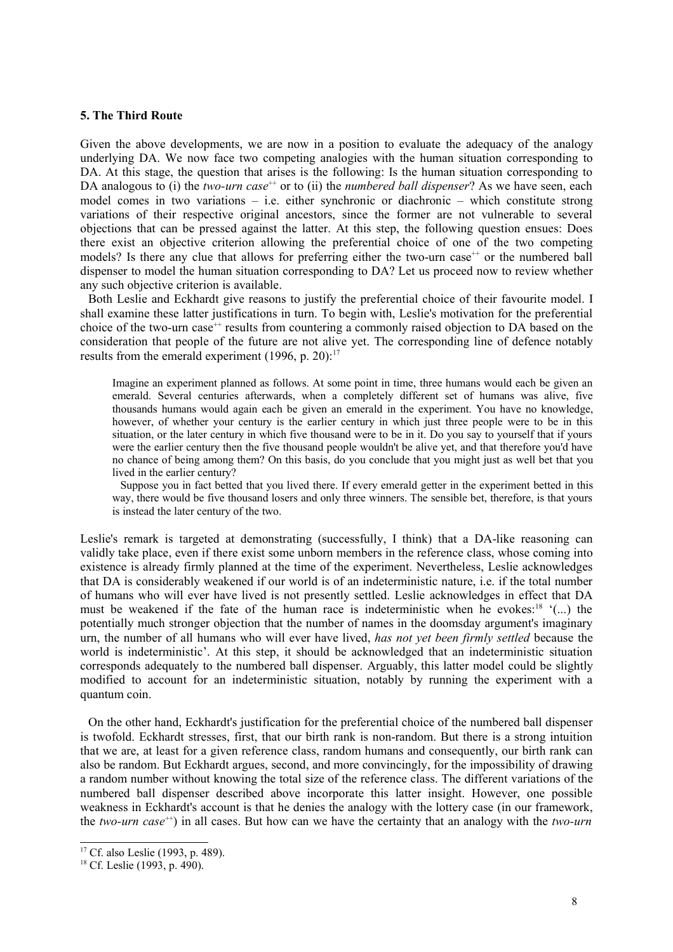### **5. The Third Route**

Given the above developments, we are now in a position to evaluate the adequacy of the analogy underlying DA. We now face two competing analogies with the human situation corresponding to DA. At this stage, the question that arises is the following: Is the human situation corresponding to DA analogous to (i) the *two-urn case*<sup>++</sup> or to (ii) the *numbered ball dispenser*? As we have seen, each model comes in two variations  $-$  i.e. either synchronic or diachronic  $-$  which constitute strong variations of their respective original ancestors, since the former are not vulnerable to several objections that can be pressed against the latter. At this step, the following question ensues: Does there exist an objective criterion allowing the preferential choice of one of the two competing models? Is there any clue that allows for preferring either the two-urn case<sup>++</sup> or the numbered ball dispenser to model the human situation corresponding to DA? Let us proceed now to review whether any such objective criterion is available.

Both Leslie and Eckhardt give reasons to justify the preferential choice of their favourite model. I shall examine these latter justifications in turn. To begin with, Leslie's motivation for the preferential choice of the two-urn case<sup>++</sup> results from countering a commonly raised objection to DA based on the consideration that people of the future are not alive yet. The corresponding line of defence notably results from the emerald experiment  $(1996, p. 20)$ :<sup>17</sup>

Imagine an experiment planned as follows. At some point in time, three humans would each be given an emerald. Several centuries afterwards, when a completely different set of humans was alive, five thousands humans would again each be given an emerald in the experiment. You have no knowledge, however, of whether your century is the earlier century in which just three people were to be in this situation, or the later century in which five thousand were to be in it. Do you say to yourself that if yours were the earlier century then the five thousand people wouldn't be alive yet, and that therefore you'd have no chance of being among them? On this basis, do you conclude that you might just as well bet that you lived in the earlier century?

Suppose you in fact betted that you lived there. If every emerald getter in the experiment betted in this way, there would be five thousand losers and only three winners. The sensible bet, therefore, is that yours is instead the later century of the two.

Leslie's remark is targeted at demonstrating (successfully, I think) that a DA-like reasoning can validly take place, even if there exist some unborn members in the reference class, whose coming into existence is already firmly planned at the time of the experiment. Nevertheless, Leslie acknowledges that DA is considerably weakened if our world is of an indeterministic nature, i.e. if the total number of humans who will ever have lived is not presently settled. Leslie acknowledges in effect that DA must be weakened if the fate of the human race is indeterministic when he evokes: <sup>18</sup> '(...) the potentially much stronger objection that the number of names in the doomsday argument's imaginary urn, the number of all humans who will ever have lived, *has not yet been firmly settled* because the world is indeterministic'. At this step, it should be acknowledged that an indeterministic situation corresponds adequately to the numbered ball dispenser. Arguably, this latter model could be slightly modified to account for an indeterministic situation, notably by running the experiment with a quantum coin.

On the other hand, Eckhardt's justification for the preferential choice of the numbered ball dispenser is twofold. Eckhardt stresses, first, that our birth rank is non-random. But there is a strong intuition that we are, at least for a given reference class, random humans and consequently, our birth rank can also be random. But Eckhardt argues, second, and more convincingly, for the impossibility of drawing a random number without knowing the total size of the reference class. The different variations of the numbered ball dispenser described above incorporate this latter insight. However, one possible weakness in Eckhardt's account is that he denies the analogy with the lottery case (in our framework, the *two-urn case*<sup>++</sup>) in all cases. But how can we have the certainty that an analogy with the *two-urn* 

<sup>&</sup>lt;sup>17</sup> Cf. also Leslie (1993, p. 489).

 $18$  Cf. Leslie (1993, p. 490).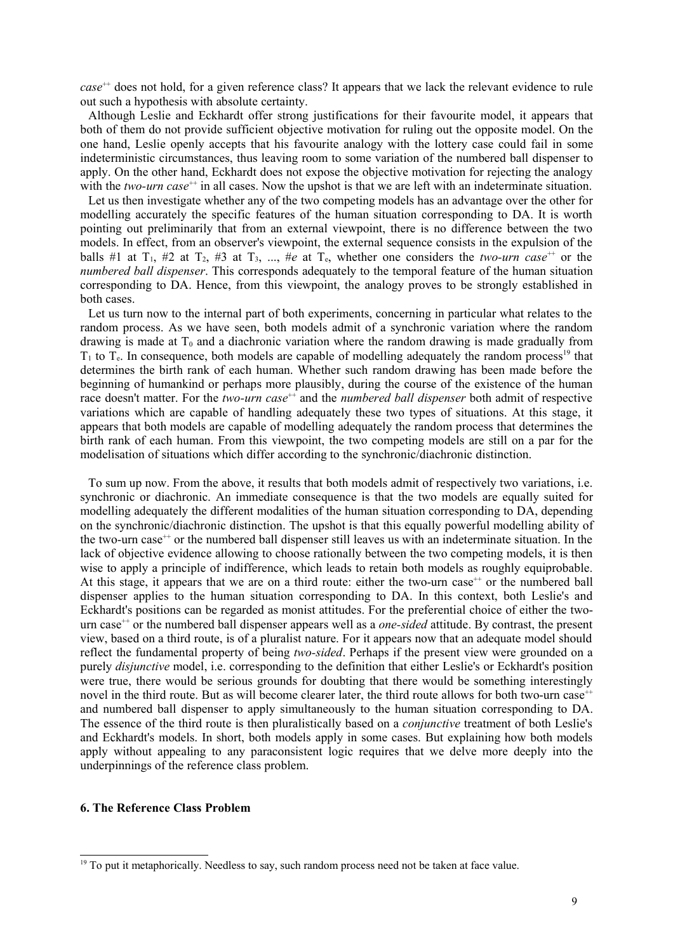case<sup>++</sup> does not hold, for a given reference class? It appears that we lack the relevant evidence to rule out such a hypothesis with absolute certainty.

Although Leslie and Eckhardt offer strong justifications for their favourite model, it appears that both of them do not provide sufficient objective motivation for ruling out the opposite model. On the one hand, Leslie openly accepts that his favourite analogy with the lottery case could fail in some indeterministic circumstances, thus leaving room to some variation of the numbered ball dispenser to apply. On the other hand, Eckhardt does not expose the objective motivation for rejecting the analogy with the *two-urn case*<sup>++</sup> in all cases. Now the upshot is that we are left with an indeterminate situation.

Let us then investigate whether any of the two competing models has an advantage over the other for modelling accurately the specific features of the human situation corresponding to DA. It is worth pointing out preliminarily that from an external viewpoint, there is no difference between the two models. In effect, from an observer's viewpoint, the external sequence consists in the expulsion of the balls #1 at  $T_1$ , #2 at  $T_2$ , #3 at  $T_3$ , ..., #e at  $T_5$ , whether one considers the *two-urn case*<sup>++</sup> or the *numbered ball dispenser*. This corresponds adequately to the temporal feature of the human situation corresponding to DA. Hence, from this viewpoint, the analogy proves to be strongly established in both cases.

Let us turn now to the internal part of both experiments, concerning in particular what relates to the random process. As we have seen, both models admit of a synchronic variation where the random drawing is made at  $T_0$  and a diachronic variation where the random drawing is made gradually from  $T_1$  to  $T_e$ . In consequence, both models are capable of modelling adequately the random process<sup>19</sup> that determines the birth rank of each human. Whether such random drawing has been made before the beginning of humankind or perhaps more plausibly, during the course of the existence of the human race doesn't matter. For the *two-urn case*<sup>++</sup> and the *numbered ball dispenser* both admit of respective variations which are capable of handling adequately these two types of situations. At this stage, it appears that both models are capable of modelling adequately the random process that determines the birth rank of each human. From this viewpoint, the two competing models are still on a par for the modelisation of situations which differ according to the synchronic/diachronic distinction.

To sum up now. From the above, it results that both models admit of respectively two variations, i.e. synchronic or diachronic. An immediate consequence is that the two models are equally suited for modelling adequately the different modalities of the human situation corresponding to DA, depending on the synchronic/diachronic distinction. The upshot is that this equally powerful modelling ability of the two-urn case++ or the numbered ball dispenser still leaves us with an indeterminate situation. In the lack of objective evidence allowing to choose rationally between the two competing models, it is then wise to apply a principle of indifference, which leads to retain both models as roughly equiprobable. At this stage, it appears that we are on a third route: either the two-urn case<sup> $+$ </sup> or the numbered ball dispenser applies to the human situation corresponding to DA. In this context, both Leslie's and Eckhardt's positions can be regarded as monist attitudes. For the preferential choice of either the twourn case<sup>++</sup> or the numbered ball dispenser appears well as a *one-sided* attitude. By contrast, the present view, based on a third route, is of a pluralist nature. For it appears now that an adequate model should reflect the fundamental property of being *two-sided*. Perhaps if the present view were grounded on a purely *disjunctive* model, i.e. corresponding to the definition that either Leslie's or Eckhardt's position were true, there would be serious grounds for doubting that there would be something interestingly novel in the third route. But as will become clearer later, the third route allows for both two-urn case<sup>++</sup> and numbered ball dispenser to apply simultaneously to the human situation corresponding to DA. The essence of the third route is then pluralistically based on a *conjunctive* treatment of both Leslie's and Eckhardt's models. In short, both models apply in some cases. But explaining how both models apply without appealing to any paraconsistent logic requires that we delve more deeply into the underpinnings of the reference class problem.

## **6. The Reference Class Problem**

<sup>&</sup>lt;sup>19</sup> To put it metaphorically. Needless to say, such random process need not be taken at face value.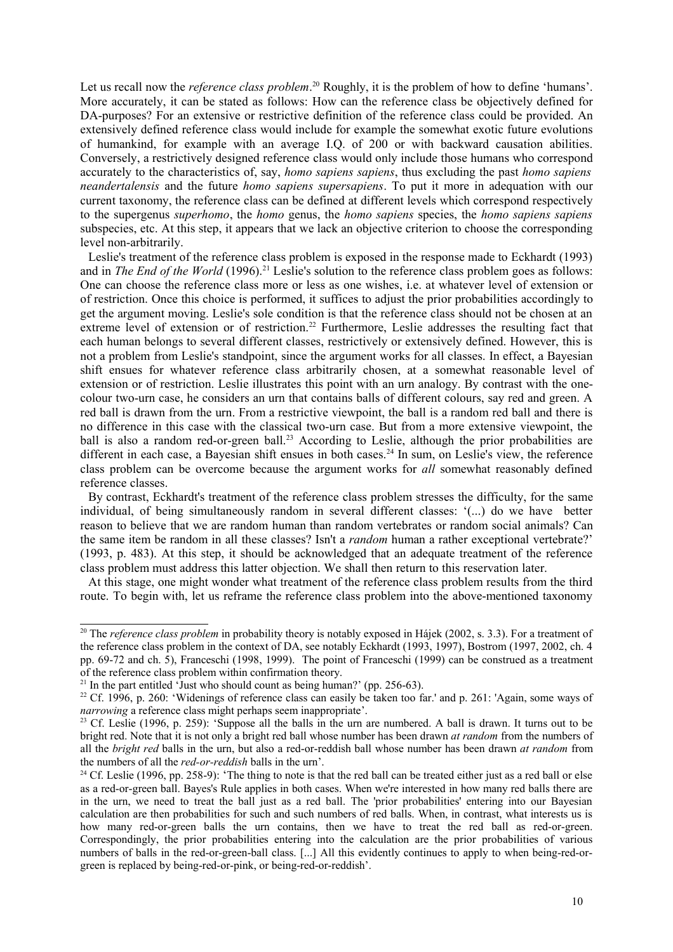Let us recall now the *reference class problem*.<sup>20</sup> Roughly, it is the problem of how to define 'humans'. More accurately, it can be stated as follows: How can the reference class be objectively defined for DA-purposes? For an extensive or restrictive definition of the reference class could be provided. An extensively defined reference class would include for example the somewhat exotic future evolutions of humankind, for example with an average I.Q. of 200 or with backward causation abilities. Conversely, a restrictively designed reference class would only include those humans who correspond accurately to the characteristics of, say, *homo sapiens sapiens*, thus excluding the past *homo sapiens neandertalensis* and the future *homo sapiens supersapiens*. To put it more in adequation with our current taxonomy, the reference class can be defined at different levels which correspond respectively to the supergenus *superhomo*, the *homo* genus, the *homo sapiens* species, the *homo sapiens sapiens* subspecies, etc. At this step, it appears that we lack an objective criterion to choose the corresponding level non-arbitrarily.

Leslie's treatment of the reference class problem is exposed in the response made to Eckhardt (1993) and in *The End of the World* (1996).<sup>21</sup> Leslie's solution to the reference class problem goes as follows: One can choose the reference class more or less as one wishes, i.e. at whatever level of extension or of restriction. Once this choice is performed, it suffices to adjust the prior probabilities accordingly to get the argument moving. Leslie's sole condition is that the reference class should not be chosen at an extreme level of extension or of restriction.<sup>22</sup> Furthermore, Leslie addresses the resulting fact that each human belongs to several different classes, restrictively or extensively defined. However, this is not a problem from Leslie's standpoint, since the argument works for all classes. In effect, a Bayesian shift ensues for whatever reference class arbitrarily chosen, at a somewhat reasonable level of extension or of restriction. Leslie illustrates this point with an urn analogy. By contrast with the onecolour two-urn case, he considers an urn that contains balls of different colours, say red and green. A red ball is drawn from the urn. From a restrictive viewpoint, the ball is a random red ball and there is no difference in this case with the classical two-urn case. But from a more extensive viewpoint, the ball is also a random red-or-green ball.<sup>23</sup> According to Leslie, although the prior probabilities are different in each case, a Bayesian shift ensues in both cases.<sup>24</sup> In sum, on Leslie's view, the reference class problem can be overcome because the argument works for *all* somewhat reasonably defined reference classes.

By contrast, Eckhardt's treatment of the reference class problem stresses the difficulty, for the same individual, of being simultaneously random in several different classes: '(...) do we have better reason to believe that we are random human than random vertebrates or random social animals? Can the same item be random in all these classes? Isn't a *random* human a rather exceptional vertebrate?' (1993, p. 483). At this step, it should be acknowledged that an adequate treatment of the reference class problem must address this latter objection. We shall then return to this reservation later.

At this stage, one might wonder what treatment of the reference class problem results from the third route. To begin with, let us reframe the reference class problem into the above-mentioned taxonomy

<sup>&</sup>lt;sup>20</sup> The *reference class problem* in probability theory is notably exposed in Hájek (2002, s. 3.3). For a treatment of the reference class problem in the context of DA, see notably Eckhardt (1993, 1997), Bostrom (1997, 2002, ch. 4 pp. 69-72 and ch. 5), Franceschi (1998, 1999). The point of Franceschi (1999) can be construed as a treatment of the reference class problem within confirmation theory.

 $21$  In the part entitled 'Just who should count as being human?' (pp. 256-63).

<sup>&</sup>lt;sup>22</sup> Cf. 1996, p. 260: 'Widenings of reference class can easily be taken too far.' and p. 261: 'Again, some ways of *narrowing* a reference class might perhaps seem inappropriate'.

<sup>&</sup>lt;sup>23</sup> Cf. Leslie (1996, p. 259): 'Suppose all the balls in the urn are numbered. A ball is drawn. It turns out to be bright red. Note that it is not only a bright red ball whose number has been drawn *at random* from the numbers of all the *bright red* balls in the urn, but also a red-or-reddish ball whose number has been drawn *at random* from the numbers of all the *red-or-reddish* balls in the urn'.

<sup>&</sup>lt;sup>24</sup> Cf. Leslie (1996, pp. 258-9): 'The thing to note is that the red ball can be treated either just as a red ball or else as a red-or-green ball. Bayes's Rule applies in both cases. When we're interested in how many red balls there are in the urn, we need to treat the ball just as a red ball. The 'prior probabilities' entering into our Bayesian calculation are then probabilities for such and such numbers of red balls. When, in contrast, what interests us is how many red-or-green balls the urn contains, then we have to treat the red ball as red-or-green. Correspondingly, the prior probabilities entering into the calculation are the prior probabilities of various numbers of balls in the red-or-green-ball class. [...] All this evidently continues to apply to when being-red-orgreen is replaced by being-red-or-pink, or being-red-or-reddish'.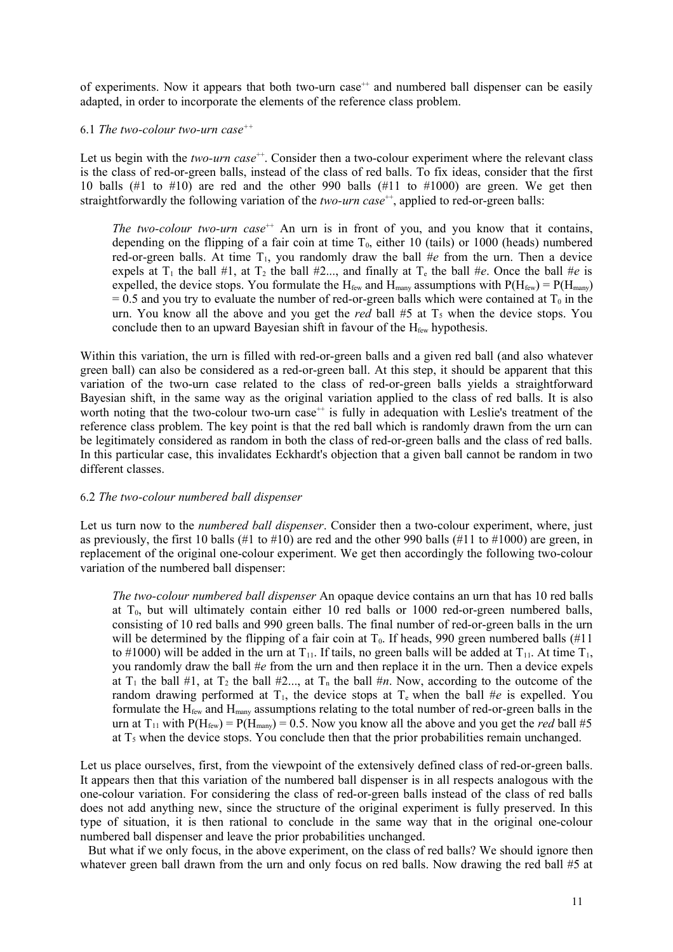of experiments. Now it appears that both two-urn case<sup>++</sup> and numbered ball dispenser can be easily adapted, in order to incorporate the elements of the reference class problem.

# 6.1 *The two-colour two-urn case++*

Let us begin with the *two-urn case*<sup>++</sup>. Consider then a two-colour experiment where the relevant class is the class of red-or-green balls, instead of the class of red balls. To fix ideas, consider that the first 10 balls  $(\#1 \text{ to } \#10)$  are red and the other 990 balls  $(\#11 \text{ to } \#1000)$  are green. We get then straightforwardly the following variation of the *two-urn case*<sup>++</sup>, applied to red-or-green balls:

*The two-colour two-urn case*<sup>++</sup> An urn is in front of you, and you know that it contains, depending on the flipping of a fair coin at time  $T_0$ , either 10 (tails) or 1000 (heads) numbered red-or-green balls. At time  $T_1$ , you randomly draw the ball  $\#e$  from the urn. Then a device expels at  $T_1$  the ball #1, at  $T_2$  the ball #2..., and finally at  $T_e$  the ball #*e*. Once the ball #*e* is expelled, the device stops. You formulate the H<sub>few</sub> and H<sub>many</sub> assumptions with  $P(H_{f_{\text{eav}}}) = P(H_{\text{many}})$  $= 0.5$  and you try to evaluate the number of red-or-green balls which were contained at  $T_0$  in the urn. You know all the above and you get the *red* ball  $#5$  at  $T_5$  when the device stops. You conclude then to an upward Bayesian shift in favour of the  $H_{few}$  hypothesis.

Within this variation, the urn is filled with red-or-green balls and a given red ball (and also whatever green ball) can also be considered as a red-or-green ball. At this step, it should be apparent that this variation of the two-urn case related to the class of red-or-green balls yields a straightforward Bayesian shift, in the same way as the original variation applied to the class of red balls. It is also worth noting that the two-colour two-urn case<sup>++</sup> is fully in adequation with Leslie's treatment of the reference class problem. The key point is that the red ball which is randomly drawn from the urn can be legitimately considered as random in both the class of red-or-green balls and the class of red balls. In this particular case, this invalidates Eckhardt's objection that a given ball cannot be random in two different classes.

# 6.2 *The two-colour numbered ball dispenser*

Let us turn now to the *numbered ball dispenser*. Consider then a two-colour experiment, where, just as previously, the first 10 balls (#1 to #10) are red and the other 990 balls (#11 to #1000) are green, in replacement of the original one-colour experiment. We get then accordingly the following two-colour variation of the numbered ball dispenser:

*The two-colour numbered ball dispenser* An opaque device contains an urn that has 10 red balls at  $T_0$ , but will ultimately contain either 10 red balls or 1000 red-or-green numbered balls, consisting of 10 red balls and 990 green balls. The final number of red-or-green balls in the urn will be determined by the flipping of a fair coin at  $T_0$ . If heads, 990 green numbered balls (#11) to #1000) will be added in the urn at  $T_{11}$ . If tails, no green balls will be added at  $T_{11}$ . At time  $T_{11}$ , you randomly draw the ball #*e* from the urn and then replace it in the urn. Then a device expels at  $T_1$  the ball #1, at  $T_2$  the ball #2..., at  $T_n$  the ball #*n*. Now, according to the outcome of the random drawing performed at  $T_1$ , the device stops at  $T_e$  when the ball #*e* is expelled. You formulate the  $H_{few}$  and  $H_{many}$  assumptions relating to the total number of red-or-green balls in the urn at  $T_{11}$  with  $P(H_{few}) = P(H_{manv}) = 0.5$ . Now you know all the above and you get the *red* ball #5 at  $T_5$  when the device stops. You conclude then that the prior probabilities remain unchanged.

Let us place ourselves, first, from the viewpoint of the extensively defined class of red-or-green balls. It appears then that this variation of the numbered ball dispenser is in all respects analogous with the one-colour variation. For considering the class of red-or-green balls instead of the class of red balls does not add anything new, since the structure of the original experiment is fully preserved. In this type of situation, it is then rational to conclude in the same way that in the original one-colour numbered ball dispenser and leave the prior probabilities unchanged.

But what if we only focus, in the above experiment, on the class of red balls? We should ignore then whatever green ball drawn from the urn and only focus on red balls. Now drawing the red ball #5 at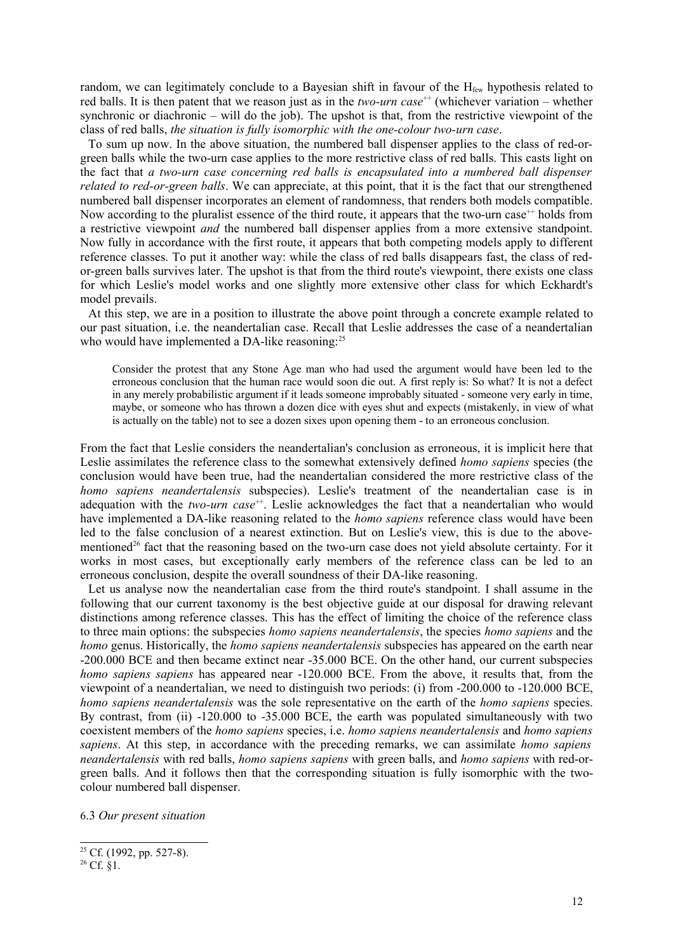random, we can legitimately conclude to a Bayesian shift in favour of the H<sub>few</sub> hypothesis related to red balls. It is then patent that we reason just as in the *two-urn case*<sup>++</sup> (whichever variation – whether synchronic or diachronic – will do the job). The upshot is that, from the restrictive viewpoint of the class of red balls, *the situation is fully isomorphic with the one-colour two-urn case*.

To sum up now. In the above situation, the numbered ball dispenser applies to the class of red-orgreen balls while the two-urn case applies to the more restrictive class of red balls. This casts light on the fact that *a two-urn case concerning red balls is encapsulated into a numbered ball dispenser related to red-or-green balls*. We can appreciate, at this point, that it is the fact that our strengthened numbered ball dispenser incorporates an element of randomness, that renders both models compatible. Now according to the pluralist essence of the third route, it appears that the two-urn case<sup>++</sup> holds from a restrictive viewpoint *and* the numbered ball dispenser applies from a more extensive standpoint. Now fully in accordance with the first route, it appears that both competing models apply to different reference classes. To put it another way: while the class of red balls disappears fast, the class of redor-green balls survives later. The upshot is that from the third route's viewpoint, there exists one class for which Leslie's model works and one slightly more extensive other class for which Eckhardt's model prevails.

At this step, we are in a position to illustrate the above point through a concrete example related to our past situation, i.e. the neandertalian case. Recall that Leslie addresses the case of a neandertalian who would have implemented a DA-like reasoning:<sup>25</sup>

Consider the protest that any Stone Age man who had used the argument would have been led to the erroneous conclusion that the human race would soon die out. A first reply is: So what? It is not a defect in any merely probabilistic argument if it leads someone improbably situated - someone very early in time, maybe, or someone who has thrown a dozen dice with eyes shut and expects (mistakenly, in view of what is actually on the table) not to see a dozen sixes upon opening them - to an erroneous conclusion.

From the fact that Leslie considers the neandertalian's conclusion as erroneous, it is implicit here that Leslie assimilates the reference class to the somewhat extensively defined *homo sapiens* species (the conclusion would have been true, had the neandertalian considered the more restrictive class of the *homo sapiens neandertalensis* subspecies). Leslie's treatment of the neandertalian case is in adequation with the *two-urn case*<sup>++</sup>. Leslie acknowledges the fact that a neandertalian who would have implemented a DA-like reasoning related to the *homo sapiens* reference class would have been led to the false conclusion of a nearest extinction. But on Leslie's view, this is due to the abovementioned<sup>26</sup> fact that the reasoning based on the two-urn case does not yield absolute certainty. For it works in most cases, but exceptionally early members of the reference class can be led to an erroneous conclusion, despite the overall soundness of their DA-like reasoning.

Let us analyse now the neandertalian case from the third route's standpoint. I shall assume in the following that our current taxonomy is the best objective guide at our disposal for drawing relevant distinctions among reference classes. This has the effect of limiting the choice of the reference class to three main options: the subspecies *homo sapiens neandertalensis*, the species *homo sapiens* and the *homo* genus. Historically, the *homo sapiens neandertalensis* subspecies has appeared on the earth near -200.000 BCE and then became extinct near -35.000 BCE. On the other hand, our current subspecies *homo sapiens sapiens* has appeared near -120.000 BCE. From the above, it results that, from the viewpoint of a neandertalian, we need to distinguish two periods: (i) from -200.000 to -120.000 BCE, *homo sapiens neandertalensis* was the sole representative on the earth of the *homo sapiens* species. By contrast, from (ii) -120.000 to -35.000 BCE, the earth was populated simultaneously with two coexistent members of the *homo sapiens* species, i.e. *homo sapiens neandertalensis* and *homo sapiens sapiens*. At this step, in accordance with the preceding remarks, we can assimilate *homo sapiens neandertalensis* with red balls, *homo sapiens sapiens* with green balls, and *homo sapiens* with red-orgreen balls. And it follows then that the corresponding situation is fully isomorphic with the twocolour numbered ball dispenser.

6.3 *Our present situation*

 $25$  Cf. (1992, pp. 527-8).

 $^{26}$  Cf.  $\dot{\S}1$ .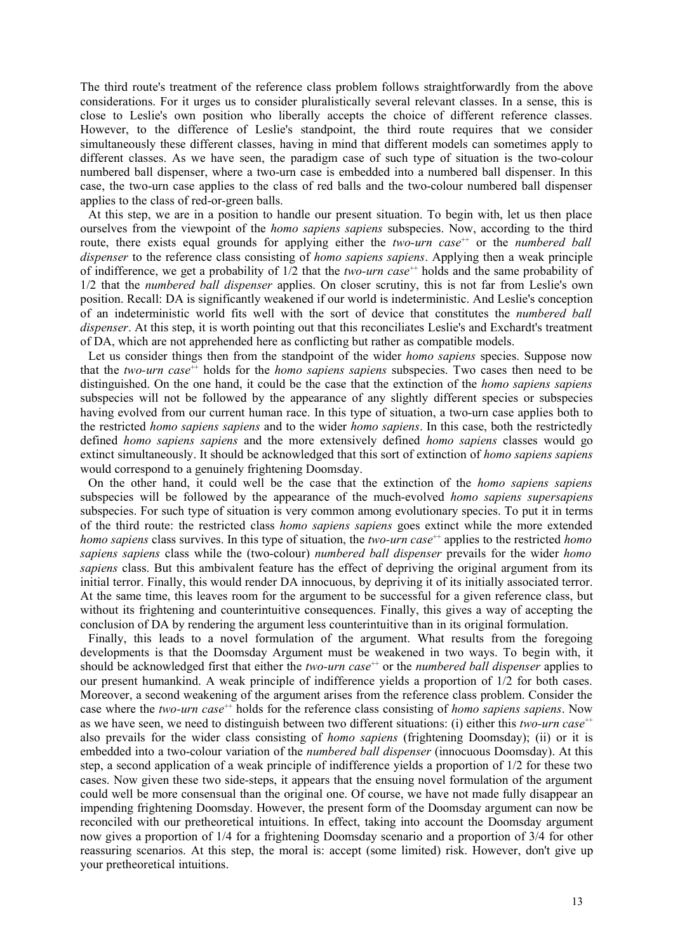The third route's treatment of the reference class problem follows straightforwardly from the above considerations. For it urges us to consider pluralistically several relevant classes. In a sense, this is close to Leslie's own position who liberally accepts the choice of different reference classes. However, to the difference of Leslie's standpoint, the third route requires that we consider simultaneously these different classes, having in mind that different models can sometimes apply to different classes. As we have seen, the paradigm case of such type of situation is the two-colour numbered ball dispenser, where a two-urn case is embedded into a numbered ball dispenser. In this case, the two-urn case applies to the class of red balls and the two-colour numbered ball dispenser applies to the class of red-or-green balls.

At this step, we are in a position to handle our present situation. To begin with, let us then place ourselves from the viewpoint of the *homo sapiens sapiens* subspecies. Now, according to the third route, there exists equal grounds for applying either the *two-urn case*<sup>++</sup> or the *numbered ball dispenser* to the reference class consisting of *homo sapiens sapiens*. Applying then a weak principle of indifference, we get a probability of 1/2 that the *two-urn case*++ holds and the same probability of 1/2 that the *numbered ball dispenser* applies. On closer scrutiny, this is not far from Leslie's own position. Recall: DA is significantly weakened if our world is indeterministic. And Leslie's conception of an indeterministic world fits well with the sort of device that constitutes the *numbered ball dispenser*. At this step, it is worth pointing out that this reconciliates Leslie's and Exchardt's treatment of DA, which are not apprehended here as conflicting but rather as compatible models.

Let us consider things then from the standpoint of the wider *homo sapiens* species. Suppose now that the *two-urn case*<sup>++</sup> holds for the *homo sapiens sapiens* subspecies. Two cases then need to be distinguished. On the one hand, it could be the case that the extinction of the *homo sapiens sapiens* subspecies will not be followed by the appearance of any slightly different species or subspecies having evolved from our current human race. In this type of situation, a two-urn case applies both to the restricted *homo sapiens sapiens* and to the wider *homo sapiens*. In this case, both the restrictedly defined *homo sapiens sapiens* and the more extensively defined *homo sapiens* classes would go extinct simultaneously. It should be acknowledged that this sort of extinction of *homo sapiens sapiens* would correspond to a genuinely frightening Doomsday.

On the other hand, it could well be the case that the extinction of the *homo sapiens sapiens* subspecies will be followed by the appearance of the much-evolved *homo sapiens supersapiens* subspecies. For such type of situation is very common among evolutionary species. To put it in terms of the third route: the restricted class *homo sapiens sapiens* goes extinct while the more extended *homo sapiens* class survives. In this type of situation, the *two-urn case*<sup>++</sup> applies to the restricted *homo sapiens sapiens* class while the (two-colour) *numbered ball dispenser* prevails for the wider *homo sapiens* class. But this ambivalent feature has the effect of depriving the original argument from its initial terror. Finally, this would render DA innocuous, by depriving it of its initially associated terror. At the same time, this leaves room for the argument to be successful for a given reference class, but without its frightening and counterintuitive consequences. Finally, this gives a way of accepting the conclusion of DA by rendering the argument less counterintuitive than in its original formulation.

Finally, this leads to a novel formulation of the argument. What results from the foregoing developments is that the Doomsday Argument must be weakened in two ways. To begin with, it should be acknowledged first that either the *two-urn case*<sup>++</sup> or the *numbered ball dispenser* applies to our present humankind. A weak principle of indifference yields a proportion of 1/2 for both cases. Moreover, a second weakening of the argument arises from the reference class problem. Consider the case where the *two-urn case*<sup>++</sup> holds for the reference class consisting of *homo sapiens sapiens*. Now as we have seen, we need to distinguish between two different situations: (i) either this *two-urn case*<sup>++</sup> also prevails for the wider class consisting of *homo sapiens* (frightening Doomsday); (ii) or it is embedded into a two-colour variation of the *numbered ball dispenser* (innocuous Doomsday). At this step, a second application of a weak principle of indifference yields a proportion of 1/2 for these two cases. Now given these two side-steps, it appears that the ensuing novel formulation of the argument could well be more consensual than the original one. Of course, we have not made fully disappear an impending frightening Doomsday. However, the present form of the Doomsday argument can now be reconciled with our pretheoretical intuitions. In effect, taking into account the Doomsday argument now gives a proportion of 1/4 for a frightening Doomsday scenario and a proportion of 3/4 for other reassuring scenarios. At this step, the moral is: accept (some limited) risk. However, don't give up your pretheoretical intuitions.